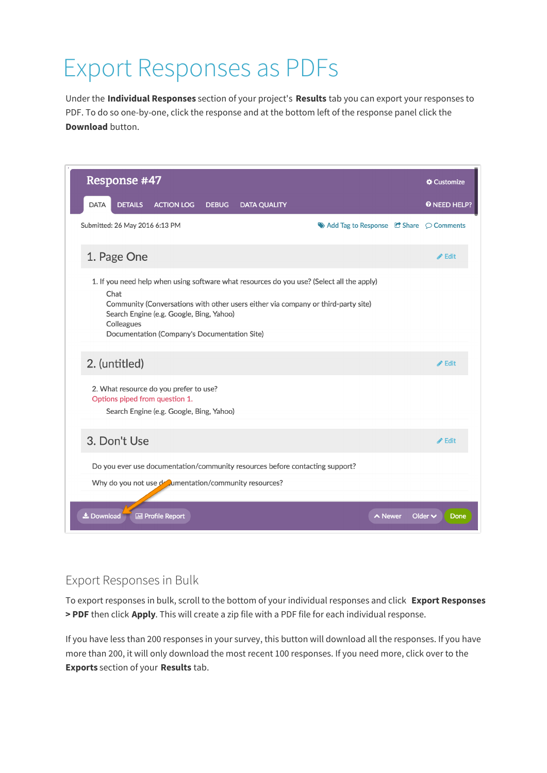## Export Responses as PDFs

Under the **Individual Responses** section of your project's **Results** tab you can export your responses to PDF. To do so one-by-one, click the response and at the bottom left of the response panel click the **Download** button.

|  |                                                                                                                                                                                                                                                                                                  | Response #47                   |                                                                                                                      |              |                                                                              |                                                                              |         | Customize            |
|--|--------------------------------------------------------------------------------------------------------------------------------------------------------------------------------------------------------------------------------------------------------------------------------------------------|--------------------------------|----------------------------------------------------------------------------------------------------------------------|--------------|------------------------------------------------------------------------------|------------------------------------------------------------------------------|---------|----------------------|
|  | <b>DATA</b>                                                                                                                                                                                                                                                                                      | <b>DETAILS</b>                 | <b>ACTION LOG</b>                                                                                                    | <b>DEBUG</b> | <b>DATA QUALITY</b>                                                          |                                                                              |         | <b>O</b> NEED HELP?  |
|  |                                                                                                                                                                                                                                                                                                  | Submitted: 26 May 2016 6:13 PM |                                                                                                                      |              |                                                                              | $\blacktriangleright$ Add Tag to Response $\Box$ Share $\heartsuit$ Comments |         |                      |
|  |                                                                                                                                                                                                                                                                                                  | 1. Page One                    |                                                                                                                      |              |                                                                              |                                                                              |         | $\triangle$ Edit     |
|  | 1. If you need help when using software what resources do you use? (Select all the apply)<br>Chat<br>Community (Conversations with other users either via company or third-party site)<br>Search Engine (e.g. Google, Bing, Yahoo)<br>Colleagues<br>Documentation (Company's Documentation Site) |                                |                                                                                                                      |              |                                                                              |                                                                              |         |                      |
|  |                                                                                                                                                                                                                                                                                                  | 2. (untitled)                  |                                                                                                                      |              |                                                                              |                                                                              |         | $\triangle$ Edit     |
|  |                                                                                                                                                                                                                                                                                                  |                                | 2. What resource do you prefer to use?<br>Options piped from question 1.<br>Search Engine (e.g. Google, Bing, Yahoo) |              |                                                                              |                                                                              |         |                      |
|  |                                                                                                                                                                                                                                                                                                  | 3. Don't Use                   |                                                                                                                      |              |                                                                              |                                                                              |         | $\triangle$ Edit     |
|  |                                                                                                                                                                                                                                                                                                  |                                |                                                                                                                      |              | Do you ever use documentation/community resources before contacting support? |                                                                              |         |                      |
|  |                                                                                                                                                                                                                                                                                                  |                                | Why do you not use deal mentation/community resources?                                                               |              |                                                                              |                                                                              |         |                      |
|  | La Download                                                                                                                                                                                                                                                                                      |                                | <b>III</b> Profile Report                                                                                            |              |                                                                              |                                                                              | ∧ Newer | Older $\vee$<br>Done |

## Export Responses in Bulk

To export responses in bulk, scroll to the bottom of your individual responses and click **Export Responses > PDF** then click **Apply**. This will create a zip file with a PDF file for each individual response.

If you have less than 200 responses in your survey, this button will download all the responses. If you have more than 200, it will only download the most recent 100 responses. If you need more, click over to the **Exports** section of your **Results** tab.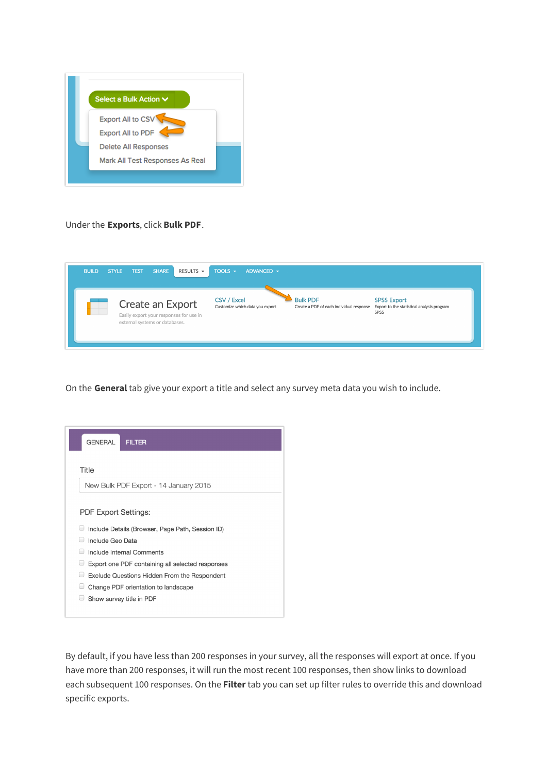

Under the **Exports**, click **Bulk PDF**.

| <b>BUILD</b> | <b>SHARE</b><br>RESULTS $\sim$<br><b>STYLE</b><br><b>TEST</b>                                 | TOOLS $\sim$<br>ADVANCED -                     |                                                             |                                                                          |
|--------------|-----------------------------------------------------------------------------------------------|------------------------------------------------|-------------------------------------------------------------|--------------------------------------------------------------------------|
|              | Create an Export<br>Easily export your responses for use in<br>external systems or databases. | CSV / Excel<br>Customize which data you export | <b>Bulk PDF</b><br>Create a PDF of each individual response | <b>SPSS Export</b><br>Export to the statistical analysis program<br>SPSS |

On the **General** tab give your export a title and select any survey meta data you wish to include.

| <b>GENERAL</b><br><b>FILTER</b>                                                                                                                                                                                                                                                                                                  |
|----------------------------------------------------------------------------------------------------------------------------------------------------------------------------------------------------------------------------------------------------------------------------------------------------------------------------------|
| Title                                                                                                                                                                                                                                                                                                                            |
| New Bulk PDF Export - 14 January 2015                                                                                                                                                                                                                                                                                            |
| <b>PDF Export Settings:</b><br>Include Details (Browser, Page Path, Session ID)<br>Include Geo Data<br>m.<br>Include Internal Comments<br>Export one PDF containing all selected responses<br><b>Exclude Questions Hidden From the Respondent</b><br>m.<br>m.<br>Change PDF orientation to landscape<br>Show survey title in PDF |

By default, if you have less than 200 responses in your survey, all the responses will export at once. If you have more than 200 responses, it will run the most recent 100 responses, then show links to download each subsequent 100 responses. On the **Filter** tab you can set up filter rules to override this and download specific exports.